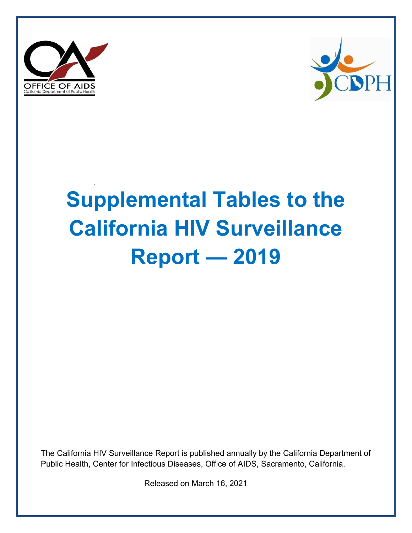



# **Supplemental Tables to the California HIV Surveillance Report — 2019**

The California HIV Surveillance Report is published annually by the California Department of Public Health, Center for Infectious Diseases, Office of AIDS, Sacramento, California.

Released on March 16, 2021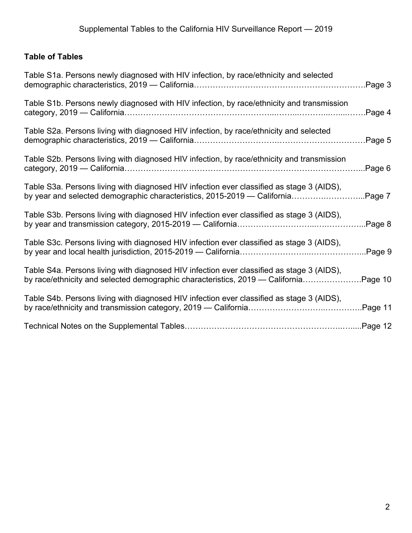# **Table of Tables**

| Table S1a. Persons newly diagnosed with HIV infection, by race/ethnicity and selected                                                                                      | Page 3  |
|----------------------------------------------------------------------------------------------------------------------------------------------------------------------------|---------|
| Table S1b. Persons newly diagnosed with HIV infection, by race/ethnicity and transmission                                                                                  | Page 4  |
| Table S2a. Persons living with diagnosed HIV infection, by race/ethnicity and selected                                                                                     | Page 5  |
| Table S2b. Persons living with diagnosed HIV infection, by race/ethnicity and transmission                                                                                 | Page 6  |
| Table S3a. Persons living with diagnosed HIV infection ever classified as stage 3 (AIDS),<br>by year and selected demographic characteristics, 2015-2019 — California      | Page 7  |
| Table S3b. Persons living with diagnosed HIV infection ever classified as stage 3 (AIDS),                                                                                  | Page 8  |
| Table S3c. Persons living with diagnosed HIV infection ever classified as stage 3 (AIDS),                                                                                  | Page 9  |
| Table S4a. Persons living with diagnosed HIV infection ever classified as stage 3 (AIDS),<br>by race/ethnicity and selected demographic characteristics, 2019 — California | Page 10 |
| Table S4b. Persons living with diagnosed HIV infection ever classified as stage 3 (AIDS),                                                                                  | Page 11 |
|                                                                                                                                                                            |         |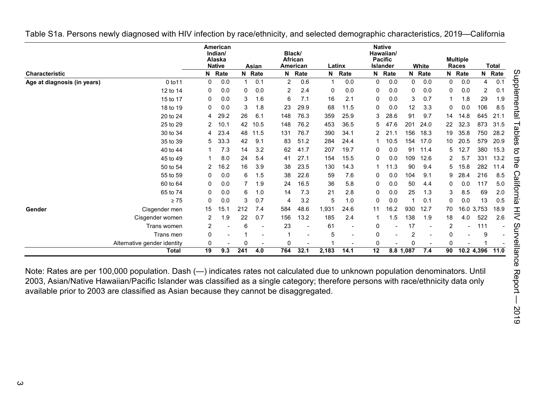|                             |                             |    | American<br>Indian/<br>Alaska<br><b>Native</b> |     | Asian  | Black/ | <b>African</b><br>American |             | Latinx |          | <b>Native</b><br>Hawaiian/<br><b>Pacific</b><br><b>Islander</b> |              | White  |                 | <b>Multiple</b><br>Races |            | Total  |
|-----------------------------|-----------------------------|----|------------------------------------------------|-----|--------|--------|----------------------------|-------------|--------|----------|-----------------------------------------------------------------|--------------|--------|-----------------|--------------------------|------------|--------|
| Characteristic              |                             |    | N Rate                                         |     | N Rate | N      | Rate                       | $\mathbf N$ | Rate   |          | N Rate                                                          |              | N Rate |                 | N Rate                   |            | N Rate |
| Age at diagnosis (in years) | 0 to 11                     | 0  | 0.0                                            |     | 0.1    | 2      | 0.6                        |             | 0.0    | 0        | 0.0                                                             | $\mathbf{0}$ | 0.0    | 0               | 0.0                      | 4          | 0.1    |
|                             | 12 to 14                    | 0  | 0.0                                            | 0   | 0.0    | 2      | 2.4                        | 0           | 0.0    | 0        | 0.0                                                             | 0            | 0.0    | 0               | 0.0                      | 2          | 0.1    |
|                             | 15 to 17                    | 0  | 0.0                                            | 3   | 1.6    | 6      | 7.1                        | 16          | 2.1    | 0        | 0.0                                                             | 3            | 0.7    |                 | 1.8                      | 29         | 1.9    |
|                             | 18 to 19                    | 0  | 0.0                                            | 3   | 1.8    | 23     | 29.9                       | 68          | 11.5   | 0        | 0.0                                                             | 12           | 3.3    | 0               | 0.0                      | 106        | 8.5    |
|                             | 20 to 24                    | 4  | 29.2                                           | 26  | 6.1    | 148    | 76.3                       | 359         | 25.9   | 3        | 28.6                                                            | 91           | 9.7    | 14              | 14.8                     | 645        | 21.1   |
|                             | 25 to 29                    | 2  | 10.1                                           | 42  | 10.5   | 148    | 76.2                       | 453         | 36.5   | 5        | 47.6                                                            | 201          | 24.0   | 22              | 32.3                     | 873        | 31.5   |
|                             | 30 to 34                    | 4  | 23.4                                           | 48  | 11.5   | 131    | 76.7                       | 390         | 34.1   | 2        | 21.1                                                            | 156          | 18.3   | 19              | 35.8                     | 750        | 28.2   |
|                             | 35 to 39                    | 5  | 33.3                                           | 42  | 9.1    | 83     | 51.2                       | 284         | 24.4   |          | 10.5                                                            | 154          | 17.0   | 10 <sup>°</sup> | 20.5                     | 579        | 20.9   |
|                             | 40 to 44                    |    | 7.3                                            | 14  | 3.2    | 62     | 41.7                       | 207         | 19.7   | 0        | 0.0                                                             | 91           | 11.4   | 5               | 12.7                     | 380        | 15.3   |
|                             | 45 to 49                    |    | 8.0                                            | 24  | 5.4    | 41     | 27.1                       | 154         | 15.5   | 0        | 0.0                                                             | 109          | 12.6   | 2               | 5.7                      | 331        | 13.2   |
|                             | 50 to 54                    |    | 16.2                                           | 16  | 3.9    | 38     | 23.5                       | 130         | 14.3   |          | 11.3                                                            | 90           | 9.4    | 5               | 15.8                     | 282        | 11.4   |
|                             | 55 to 59                    | 0  | 0.0                                            | 6   | 1.5    | 38     | 22.6                       | 59          | 7.6    | 0        | 0.0                                                             | 104          | 9.1    | 9               | 28.4                     | 216        | 8.5    |
|                             | 60 to 64                    | 0  | 0.0                                            | 7   | 1.9    | 24     | 16.5                       | 36          | 5.8    | 0        | 0.0                                                             | 50           | 4.4    | 0               | 0.0                      | 117        | 5.0    |
|                             | 65 to 74                    | 0  | 0.0                                            | 6   | 1.0    | 14     | 7.3                        | 21          | 2.8    | 0        | 0.0                                                             | 25           | 1.3    | 3               | 8.5                      | 69         | 2.0    |
|                             | $\geq 75$                   | 0  | 0.0                                            | 3   | 0.7    | 4      | 3.2                        | 5           | 1.0    | 0        | 0.0                                                             |              | 0.1    | 0               | 0.0                      | 13         | 0.5    |
| Gender                      | Cisgender men               | 15 | 15.1                                           | 212 | 7.4    | 584    | 48.6                       | 1,931       | 24.6   | 11       | 16.2                                                            | 930          | 12.7   | 70              |                          | 16.0 3,753 | 18.9   |
|                             | Cisgender women             |    | 1.9                                            | 22  | 0.7    | 156    | 13.2                       | 185         | 2.4    |          | .5 <sub>1</sub>                                                 | 138          | 1.9    | 18              | 4.0                      | 522        | 2.6    |
|                             | Trans women                 | 2  |                                                | 6   |        | 23     |                            | 61          |        | 0        |                                                                 | 17           |        | 2               |                          | 111        |        |
|                             | Trans men                   | 0  |                                                |     |        |        |                            | 5           |        | O        |                                                                 | 2            |        | 0               |                          | 9          |        |
|                             | Alternative gender identity | 0  |                                                |     |        | 0      |                            |             |        | $\Omega$ |                                                                 |              |        | $\Omega$        |                          |            |        |
|                             | Total                       | 19 | 9.3                                            | 241 | 4.0    | 764    | 32.1                       | 2,183       | 14.1   | 12       |                                                                 | 8.8 1,087    | 7.4    | 90              |                          | 10.2 4,396 | 11.0   |

<span id="page-2-0"></span>Table S1a. Persons newly diagnosed with HIV infection by race/ethnicity, and selected demographic characteristics, 2019—California

Note: Rates are per 100,000 population. Dash (—) indicates rates not calculated due to unknown population denominators. Until 2003, Asian/Native Hawaiian/Pacific Islander was classified as a single category; therefore persons with race/ethnicity data only available prior to 2003 are classified as Asian because they cannot be disaggregated.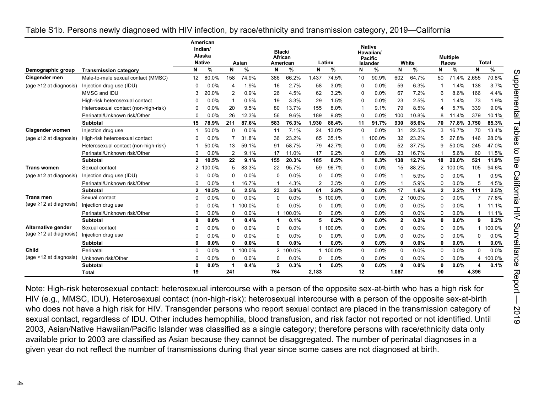|                              |                                      |              | American<br>Indian/<br>Alaska<br><b>Native</b> |                | Asian  | Black/<br>African | American |          | Latinx  |             | <b>Native</b><br>Hawaiian/<br><b>Pacific</b><br><b>Islander</b> |                | White  |              | <b>Multiple</b><br>Races |             | <b>Total</b> |
|------------------------------|--------------------------------------|--------------|------------------------------------------------|----------------|--------|-------------------|----------|----------|---------|-------------|-----------------------------------------------------------------|----------------|--------|--------------|--------------------------|-------------|--------------|
| Demographic group            | <b>Transmission category</b>         | N            | %                                              | N              | %      | N                 | %        | N        | %       | N           | %                                                               | N              | %      | N            | %                        | N           | %            |
| Cisgender men                | Male-to-male sexual contact (MMSC)   | 12           | 80.0%                                          | 158            | 74.9%  | 386               | 66.2%    | 1,437    | 74.5%   | 10          | 90.9%                                                           | 602            | 64.7%  | 50           | 71.4% 2,655              |             | 70.8%        |
| (age $\geq$ 12 at diagnosis) | Injection drug use (IDU)             | $\Omega$     | 0.0%                                           | 4              | 1.9%   | 16                | 2.7%     | 58       | 3.0%    | $\Omega$    | 0.0%                                                            | 59             | 6.3%   | 1            | 1.4%                     | 138         | 3.7%         |
|                              | MMSC and IDU                         |              | 20.0%                                          | 2              | 0.9%   | 26                | 4.5%     | 62       | 3.2%    | $\Omega$    | 0.0%                                                            | 67             | 7.2%   | 6            | 8.6%                     | 166         | 4.4%         |
|                              | High-risk heterosexual contact       |              | 0.0%                                           | -1             | 0.5%   | 19                | 3.3%     | 29       | 1.5%    | 0           | 0.0%                                                            | 23             | 2.5%   | -1           | 1.4%                     | 73          | 1.9%         |
|                              | Heterosexual contact (non-high-risk) | 0            | 0.0%                                           | 20             | 9.5%   | 80                | 13.7%    | 155      | 8.0%    | 1           | 9.1%                                                            | 79             | 8.5%   | 4            | 5.7%                     | 339         | 9.0%         |
|                              | Perinatal/Unknown risk/Other         | $\Omega$     | 0.0%                                           | 26             | 12.3%  | 56                | 9.6%     | 189      | 9.8%    | $\Omega$    | 0.0%                                                            | 100            | 10.8%  | 8            | 11.4%                    | 379         | 10.1%        |
|                              | <b>Subtotal</b>                      | 15           | 78.9%                                          | 211            | 87.6%  | 583               | 76.3%    | 1.930    | 88.4%   | 11          | 91.7%                                                           | 930            | 85.6%  | 70           | 77.8%                    | 3.750       | 85.3%        |
| <b>Cisgender women</b>       | Injection drug use                   |              | 50.0%                                          | $\Omega$       | 0.0%   | 11                | 7.1%     | 24       | 13.0%   | 0           | 0.0%                                                            | 31             | 22.5%  | 3            | 16.7%                    | 70          | 13.4%        |
| (age $\geq$ 12 at diagnosis) | High-risk heterosexual contact       | $\Omega$     | $0.0\%$                                        |                | 31.8%  | 36                | 23.2%    | 65       | 35.1%   | 1           | 100.0%                                                          | 32             | 23.2%  | 5            | 27.8%                    | 146         | 28.0%        |
|                              | Heterosexual contact (non-high-risk) |              | 50.0%                                          | 13             | 59.1%  | 91                | 58.7%    | 79       | 42.7%   | 0           | 0.0%                                                            | 52             | 37.7%  | 9            | 50.0%                    | 245         | 47.0%        |
|                              | Perinatal/Unknown risk/Other         | $\Omega$     | 0.0%                                           | $\overline{2}$ | 9.1%   | 17                | 11.0%    | 17       | 9.2%    | $\Omega$    | 0.0%                                                            | 23             | 16.7%  |              | 5.6%                     | 60          | 11.5%        |
|                              | <b>Subtotal</b>                      | 2            | 10.5%                                          | 22             | 9.1%   | 155               | 20.3%    | 185      | 8.5%    | 1           | 8.3%                                                            | 138            | 12.7%  | 18           | 20.0%                    | 521         | 11.9%        |
| <b>Trans women</b>           | Sexual contact                       |              | 2 100.0%                                       | 5              | 83.3%  | 22                | 95.7%    | 59       | 96.7%   | $\Omega$    | 0.0%                                                            | 15             | 88.2%  |              | 2 100.0%                 | 105         | 94.6%        |
| (age $\geq$ 12 at diagnosis) | Injection drug use (IDU)             | 0            | 0.0%                                           | 0              | 0.0%   | $\Omega$          | 0.0%     | O        | 0.0%    | 0           | 0.0%                                                            | 1              | 5.9%   | 0            | 0.0%                     |             | 0.9%         |
|                              | Perinatal/Unknown risk/Other         | 0            | 0.0%                                           |                | 16.7%  |                   | 4.3%     | 2        | 3.3%    | $\Omega$    | 0.0%                                                            | -1             | 5.9%   | 0            | 0.0%                     | 5           | 4.5%         |
|                              | <b>Subtotal</b>                      | $\mathbf{2}$ | 10.5%                                          | 6              | 2.5%   | 23                | 3.0%     | 61       | 2.8%    | 0           | 0.0%                                                            | 17             | 1.6%   | $\mathbf{2}$ | 2.2%                     | 111         | 2.5%         |
| <b>Trans men</b>             | Sexual contact                       | $\Omega$     | 0.0%                                           | $\mathbf 0$    | 0.0%   | $\Omega$          | 0.0%     | 5        | 100.0%  | $\mathbf 0$ | 0.0%                                                            | $\overline{2}$ | 100.0% | $\mathbf 0$  | 0.0%                     | 7           | 77.8%        |
| (age ≥12 at diagnosis)       | Injection drug use                   | 0            | 0.0%                                           |                | 100.0% | 0                 | 0.0%     | U        | 0.0%    | $\Omega$    | 0.0%                                                            | 0              | 0.0%   | 0            | 0.0%                     |             | 11.1%        |
|                              | Perinatal/Unknown risk/Other         | 0            | 0.0%                                           | $\Omega$       | 0.0%   | 1                 | 100.0%   | O        | 0.0%    | $\mathbf 0$ | 0.0%                                                            | $\Omega$       | 0.0%   | $\mathbf 0$  | 0.0%                     |             | 11.1%        |
|                              | <b>Subtotal</b>                      | $\mathbf{0}$ | $0.0\%$                                        | 1              | 0.4%   | 1                 | 0.1%     | 5        | 0.2%    | 0           | 0.0%                                                            | $\mathbf{2}$   | 0.2%   | 0            | 0.0%                     | 9           | 0.2%         |
| Alternative gender           | Sexual contact                       | $\Omega$     | 0.0%                                           | $\mathbf 0$    | 0.0%   | $\Omega$          | 0.0%     | -1       | 100.0%  | $\mathbf 0$ | 0.0%                                                            | 0              | 0.0%   | $\mathbf{0}$ | 0.0%                     |             | 100.0%       |
| (age ≥12 at diagnosis)       | Injection drug use                   | $\Omega$     | 0.0%                                           | $\Omega$       | 0.0%   | $\Omega$          | 0.0%     | 0        | 0.0%    | $\Omega$    | 0.0%                                                            | $\Omega$       | 0.0%   | $\Omega$     | 0.0%                     | $\Omega$    | $0.0\%$      |
|                              | <b>Subtotal</b>                      | 0            | 0.0%                                           | $\mathbf{0}$   | 0.0%   | $\mathbf{0}$      | 0.0%     |          | 0.0%    | 0           | 0.0%                                                            | 0              | 0.0%   | 0            | 0.0%                     | 1           | 0.0%         |
| Child                        | Perinatal                            | $\Omega$     | 0.0%                                           | $\mathbf{1}$   | 100.0% | $\overline{2}$    | 100.0%   | -1       | 100.0%  | $\mathbf 0$ | 0.0%                                                            | 0              | 0.0%   | $\mathbf 0$  | 0.0%                     | $\mathbf 0$ | 0.0%         |
| (age <12 at diagnosis)       | Unknown risk/Other                   | $\Omega$     | $0.0\%$                                        | $\Omega$       | 0.0%   | 0                 | 0.0%     | $\Omega$ | $0.0\%$ | $\mathbf 0$ | 0.0%                                                            | $\Omega$       | 0.0%   | $\Omega$     | 0.0%                     | 4           | 100.0%       |
|                              | <b>Subtotal</b>                      | $\Omega$     | 0.0%                                           |                | 0.4%   | $\mathbf{2}$      | 0.3%     |          | 0.0%    | 0           | 0.0%                                                            | 0              | 0.0%   | 0            | 0.0%                     |             | 0.1%         |
|                              | <b>Total</b>                         | 19           |                                                | 241            |        | 764               |          | 2,183    |         | 12          |                                                                 | 1,087          |        | 90           |                          | 4,396       |              |

#### <span id="page-3-0"></span>Table S1b. Persons newly diagnosed with HIV infection, by race/ethnicity and transmission category, 2019—California

Note: High-risk heterosexual contact: heterosexual intercourse with a person of the opposite sex-at-birth who has a high risk for HIV (e.g., MMSC, IDU). Heterosexual contact (non-high-risk): heterosexual intercourse with a person of the opposite sex-at-birth who does not have a high risk for HIV. Transgender persons who report sexual contact are placed in the transmission category of sexual contact, regardless of IDU. Other includes hemophilia, blood transfusion, and risk factor not reported or not identified. Until 2003, Asian/Native Hawaiian/Pacific Islander was classified as a single category; therefore persons with race/ethnicity data only available prior to 2003 are classified as Asian because they cannot be disaggregated. The number of perinatal diagnoses in a given year do not reflect the number of transmissions during that year since some cases are not diagnosed at birth.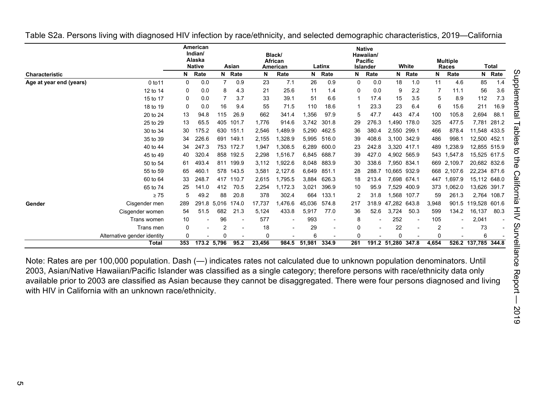|                         |                             |             | <b>American</b><br>Indian/<br>Alaska<br><b>Native</b> |             | Asian  |        | Black/<br><b>African</b><br>American |        | Latinx |     | <b>Native</b><br>Hawaiian/<br><b>Pacific</b><br><b>Islander</b> |              | White                    |                | <b>Multiple</b><br><b>Races</b> |                     | <b>Total</b> |
|-------------------------|-----------------------------|-------------|-------------------------------------------------------|-------------|--------|--------|--------------------------------------|--------|--------|-----|-----------------------------------------------------------------|--------------|--------------------------|----------------|---------------------------------|---------------------|--------------|
| <b>Characteristic</b>   |                             | N           | Rate                                                  |             | N Rate | N      | Rate                                 | N      | Rate   | N.  | Rate                                                            | N            | Rate                     | N              | Rate                            | N                   | Rate         |
| Age at year end (years) | 0 to 11                     | 0           | 0.0                                                   |             | 0.9    | 23     | 7.1                                  | 26     | 0.9    | 0   | 0.0                                                             | 18           | 1.0                      | 11             | 4.6                             | 85                  | 1.4          |
|                         | 12 to 14                    | 0           | 0.0                                                   | 8           | 4.3    | 21     | 25.6                                 | 11     | 1.4    | 0   | 0.0                                                             | 9            | 2.2                      |                | 11.1                            | 56                  | 3.6          |
|                         | 15 to 17                    | 0           | 0.0                                                   |             | 3.7    | 33     | 39.1                                 | 51     | 6.6    | 1   | 17.4                                                            | 15           | 3.5                      | 5              | 8.9                             | 112                 | 7.3          |
|                         | 18 to 19                    | 0           | 0.0                                                   | 16          | 9.4    | 55     | 71.5                                 | 110    | 18.6   |     | 23.3                                                            | 23           | 6.4                      | 6              | 15.6                            | 211                 | 16.9         |
|                         | 20 to 24                    | 13          | 94.8                                                  | 115         | 26.9   | 662    | 341.4                                | 1,356  | 97.9   | 5   | 47.7                                                            | 443          | 47.4                     | 100            | 105.8                           | 2,694               | 88.1         |
|                         | 25 to 29                    | 13          | 65.5                                                  | 405         | 101.7  | 1,776  | 914.6                                | 3,742  | 301.8  | 29  | 276.3                                                           | 1.490        | 178.0                    | 325            | 477.5                           | 7,781               | 281.2        |
|                         | 30 to 34                    | 30          | 175.2                                                 | 630         | 151.1  | 2,546  | .489.9                               | 5,290  | 462.5  | 36  | 380.4                                                           | 2,550        | 299.1                    | 466            | 878.4                           | 11,548              | 433.5        |
|                         | 35 to 39                    | 34          | 226.6                                                 | 691         | 149.1  | 2,155  | ,328.9                               | 5,995  | 516.0  | 39  | 408.6                                                           |              | 3,100 342.9              | 486            | 998.1                           | 12,500              | 452.1        |
|                         | 40 to 44                    | 34          | 247.3                                                 | 753         | 172.7  | 1,947  | ,308.5                               | 6,289  | 600.0  | 23  | 242.8                                                           | 3,320 417.1  |                          | 489            | .238.9                          | 12,855 515.9        |              |
|                         | 45 to 49                    | 40          | 320.4                                                 | 858         | 192.5  | 2,298  | .516.7                               | 6,845  | 688.7  | 39  | 427.0                                                           |              | 4.902 565.9              | 543            | 1,547.8                         | 15,525 617.5        |              |
|                         | 50 to 54                    | 61          | 493.4                                                 | 811         | 199.9  | 3,112  | ,922.6                               | 8,048  | 883.9  | 30  | 338.6                                                           |              | 7,950 834.1              |                | 669 2,109.7                     | 20,682 832.6        |              |
|                         | 55 to 59                    | 65          | 460.1                                                 | 578         | 143.5  | 3,581  | 2.127.6                              | 6.649  | 851.1  | 28  | 288.7                                                           | 10.665 932.9 |                          |                | 668 2.107.6                     | 22,234 871.6        |              |
|                         | 60 to 64                    | 33          | 248.7                                                 | 417         | 110.7  | 2,615  | .795.5                               | 3,884  | 626.3  | 18  | 213.4                                                           |              | 7.698 674.1              | 447            | .697.9                          | 15,112 648.0        |              |
|                         | 65 to 74                    | 25          | 141.0                                                 | 412         | 70.5   | 2,254  | ,172.3                               | 3,021  | 396.9  | 10  | 95.9                                                            | 7,529        | 400.9                    | 373            | 1,062.0                         | 13,626 391.7        |              |
|                         | $\geq 75$                   | 5           | 49.2                                                  | 88          | 20.8   | 378    | 302.4                                | 664    | 133.1  | 2   | 31.8                                                            |              | 1,568 107.7              | 59             | 261.3                           | 2,764               | 108.7        |
| Gender                  | Cisgender men               | 289         | 291.8                                                 | 5.016       | 174.0  | 17,737 | ,476.6                               | 45.036 | 574.8  | 217 | 318.9                                                           | 47.282 643.8 |                          | 3,948          | 901.5                           | 119,528             | 601.6        |
|                         | Cisgender women             | 54          | 51.5                                                  | 682         | 21.3   | 5,124  | 433.8                                | 5,917  | 77.0   | 36  | 52.6                                                            | 3.724        | 50.3                     | 599            | 134.2                           | 16,137              | 80.3         |
|                         | Trans women                 | 10          |                                                       | 96          |        | 577    | $\overline{\phantom{a}}$             | 993    |        | 8   |                                                                 | 252          | $\overline{\phantom{a}}$ | 105            |                                 | 2,041               |              |
|                         | Trans men                   | $\mathbf 0$ |                                                       |             |        | 18     |                                      | 29     |        | 0   |                                                                 | 22           |                          | $\overline{2}$ |                                 | 73                  |              |
|                         | Alternative gender identity | 0           |                                                       |             |        | O      |                                      | 6      |        | 0   |                                                                 | $\Omega$     |                          | <sup>0</sup>   |                                 | 6                   |              |
|                         | <b>Total</b>                | 353         |                                                       | 173.2 5,796 | 95.2   | 23,456 | 984.5                                | 51,981 | 334.9  | 261 | 191.2                                                           | 51,280 347.8 |                          | 4,654          |                                 | 526.2 137,785 344.8 |              |

<span id="page-4-0"></span>Table S2a. Persons living with diagnosed HIV infection by race/ethnicity, and selected demographic characteristics, 2019—California

Note: Rates are per 100,000 population. Dash (—) indicates rates not calculated due to unknown population denominators. Until 2003, Asian/Native Hawaiian/Pacific Islander was classified as a single category; therefore persons with race/ethnicity data only available prior to 2003 are classified as Asian because they cannot be disaggregated. There were four persons diagnosed and living with HIV in California with an unknown race/ethnicity.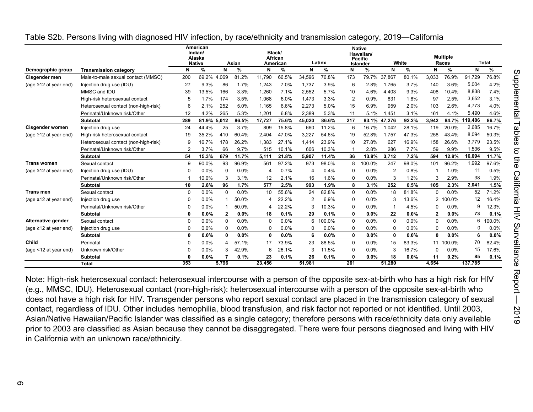|                             |                                      |             | American<br>Indian/<br>Alaska<br><b>Native</b> |              | Asian         |        | Black/<br>African<br>American |          | Latinx |                | <b>Native</b><br>Hawaiian/<br>Pacific<br>Islander |                | White         |              | <b>Multiple</b><br>Races |         | <b>Total</b> |
|-----------------------------|--------------------------------------|-------------|------------------------------------------------|--------------|---------------|--------|-------------------------------|----------|--------|----------------|---------------------------------------------------|----------------|---------------|--------------|--------------------------|---------|--------------|
| Demographic group           | <b>Transmission category</b>         | N           | %                                              | N            | $\frac{9}{6}$ | N      | %                             | N        | %      | N              | %                                                 | N              | $\frac{9}{6}$ | N            | %                        | N       | $\%$         |
| Cisgender men               | Male-to-male sexual contact (MMSC)   | 200         | 69.2% 4,069                                    |              | 81.2%         | 11.790 | 66.5%                         | 34,596   | 76.8%  | 173            | 79.7%                                             | 37,867         | 80.1%         | 3,033        | 76.9%                    | 91,729  | 76.8%        |
| (age $\geq$ 12 at year end) | Injection drug use (IDU)             | 27          | 9.3%                                           | 86           | 1.7%          | 1.243  | 7.0%                          | 1,737    | 3.9%   | 6              | 2.8%                                              | 1.765          | 3.7%          | 140          | 3.6%                     | 5,004   | 4.2%         |
|                             | MMSC and IDU                         | 39          | 13.5%                                          | 166          | 3.3%          | 1.260  | 7.1%                          | 2,552    | 5.7%   | 10             | 4.6%                                              | 4.403          | 9.3%          | 408          | 10.4%                    | 8,838   | 7.4%         |
|                             | High-risk heterosexual contact       | 5           | 1.7%                                           | 174          | 3.5%          | 1,068  | 6.0%                          | 1,473    | 3.3%   | $\overline{2}$ | 0.9%                                              | 831            | 1.8%          | 97           | 2.5%                     | 3,652   | 3.1%         |
|                             | Heterosexual contact (non-high-risk) | 6           | 2.1%                                           | 252          | 5.0%          | 1,165  | 6.6%                          | 2,273    | 5.0%   | 15             | 6.9%                                              | 959            | 2.0%          | 103          | 2.6%                     | 4,773   | 4.0%         |
|                             | Perinatal/Unknown risk/Other         | 12          | 4.2%                                           | 265          | 5.3%          | 1.201  | 6.8%                          | 2,389    | 5.3%   | 11             | 5.1%                                              | 1.451          | 3.1%          | 161          | 4.1%                     | 5,490   | 4.6%         |
|                             | <b>Subtotal</b>                      | 289         | 81.9% 5.012                                    |              | 86.5%         | 17.727 | 75.6%                         | 45,020   | 86.6%  | 217            | 83.1%                                             | 47,276         | 92.2%         | 3.942        | 84.7%                    | 119,486 | 86.7%        |
| <b>Cisgender women</b>      | Injection drug use                   | 24          | 44.4%                                          | 25           | 3.7%          | 809    | 15.8%                         | 660      | 11.2%  | 6              | 16.7%                                             | 1,042          | 28.1%         | 119          | 20.0%                    | 2,685   | 16.7%        |
| (age $\geq$ 12 at year end) | High-risk heterosexual contact       | 19          | 35.2%                                          | 410          | 60.4%         | 2,404  | 47.0%                         | 3,227    | 54.6%  | 19             | 52.8%                                             | 1.757          | 47.3%         | 258          | 43.4%                    | 8,094   | 50.3%        |
|                             | Heterosexual contact (non-high-risk) | g           | 16.7%                                          | 178          | 26.2%         | 1,383  | 27.1%                         | 1,414    | 23.9%  | 10             | 27.8%                                             | 627            | 16.9%         | 158          | 26.6%                    | 3,779   | 23.5%        |
|                             | Perinatal/Unknown risk/Other         | 2           | 3.7%                                           | 66           | 9.7%          | 515    | 10.1%                         | 606      | 10.3%  |                | 2.8%                                              | 286            | 7.7%          | 59           | 9.9%                     | 1,536   | 9.5%         |
|                             | <b>Subtotal</b>                      | 54          | 15.3%                                          | 679          | 11.7%         | 5.111  | 21.8%                         | 5,907    | 11.4%  | 36             | 13.8%                                             | 3.712          | 7.2%          | 594          | 12.8%                    | 16,094  | 11.7%        |
| <b>Trans women</b>          | Sexual contact                       | 9           | 90.0%                                          | 93           | 96.9%         | 561    | 97.2%                         | 973      | 98.0%  | 8              | 100.0%                                            | 247            | 98.0%         | 101          | 96.2%                    | 1,992   | 97.6%        |
| (age $\geq$ 12 at year end) | Injection drug use (IDU)             |             | 0.0%                                           | $\Omega$     | 0.0%          | 4      | 0.7%                          | 4        | 0.4%   | $\Omega$       | 0.0%                                              | $\overline{2}$ | 0.8%          |              | 1.0%                     | 11      | 0.5%         |
|                             | Perinatal/Unknown risk/Other         |             | 10.0%                                          | 3            | 3.1%          | 12     | 2.1%                          | 16       | 1.6%   | $\Omega$       | 0.0%                                              | 3              | 1.2%          | 3            | 2.9%                     | 38      | 1.9%         |
|                             | Subtotal                             | 10          | 2.8%                                           | 96           | 1.7%          | 577    | 2.5%                          | 993      | 1.9%   | 8              | 3.1%                                              | 252            | 0.5%          | 105          | 2.3%                     | 2,041   | 1.5%         |
| <b>Trans men</b>            | Sexual contact                       | $\Omega$    | 0.0%                                           | $\Omega$     | 0.0%          | 10     | 55.6%                         | 24       | 82.8%  | $\Omega$       | 0.0%                                              | 18             | 81.8%         | 0            | 0.0%                     | 52      | 71.2%        |
| (age ≥12 at year end)       | Injection drug use                   | ſ           | 0.0%                                           |              | 50.0%         | 4      | 22.2%                         |          | 6.9%   | $\Omega$       | 0.0%                                              | 3              | 13.6%         | 2            | 100.0%                   | 12      | 16.4%        |
|                             | Perinatal/Unknown risk/Other         | $\Omega$    | 0.0%                                           |              | 50.0%         | 4      | 22.2%                         |          | 10.3%  | $\Omega$       | 0.0%                                              |                | 4.5%          | 0            | 0.0%                     | 9       | 12.3%        |
|                             | <b>Subtotal</b>                      | 0           | 0.0%                                           | $\mathbf{2}$ | 0.0%          | 18     | 0.1%                          | 29       | 0.1%   | 0              | 0.0%                                              | 22             | 0.0%          | $\mathbf{2}$ | 0.0%                     | 73      | 0.1%         |
| Alternative gender          | Sexual contact                       | $\Omega$    | 0.0%                                           | $\Omega$     | 0.0%          | 0      | 0.0%                          | 6        | 100.0% | $\Omega$       | 0.0%                                              | $\Omega$       | 0.0%          | 0            | 0.0%                     | 6       | 100.0%       |
| $(age \ge 12$ at year end)  | Injection drug use                   | $\Omega$    | 0.0%                                           | $\Omega$     | 0.0%          | 0      | 0.0%                          | $\Omega$ | 0.0%   | $\Omega$       | 0.0%                                              | $\Omega$       | 0.0%          | O            | 0.0%                     | 0       | 0.0%         |
|                             | <b>Subtotal</b>                      | $\mathbf 0$ | 0.0%                                           | 0            | 0.0%          | 0      | $0.0\%$                       | 6        | 0.0%   | 0              | 0.0%                                              | 0              | 0.0%          | 0            | 0.0%                     | 6       | 0.0%         |
| Child                       | Perinatal                            | $\Omega$    | 0.0%                                           | 4            | 57.1%         | 17     | 73.9%                         | 23       | 88.5%  | $\Omega$       | 0.0%                                              | 15             | 83.3%         |              | 11 100.0%                | 70      | 82.4%        |
| (age <12 at year end)       | Unknown risk/Other                   | ſ           | 0.0%                                           | 3            | 42.9%         | 6      | 26.1%                         | 3        | 11.5%  | $\Omega$       | 0.0%                                              | 3              | 16.7%         | 0            | 0.0%                     | 15      | 17.6%        |
|                             | <b>Subtotal</b>                      | n           | 0.0%                                           | 7            | 0.1%          | 23     | 0.1%                          | 26       | 0.1%   | 0              | 0.0%                                              | 18             | 0.0%          | 11           | 0.2%                     | 85      | 0.1%         |
|                             | Total                                | 353         |                                                | 5,796        |               | 23,456 |                               | 51,981   |        | 261            |                                                   | 51,280         |               | 4,654        |                          | 137,785 |              |

<span id="page-5-0"></span>Table S2b. Persons living with diagnosed HIV infection, by race/ethnicity and transmission category, 2019—California

Note: High-risk heterosexual contact: heterosexual intercourse with a person of the opposite sex-at-birth who has a high risk for HIV (e.g., MMSC, IDU). Heterosexual contact (non-high-risk): heterosexual intercourse with a person of the opposite sex-at-birth who does not have a high risk for HIV. Transgender persons who report sexual contact are placed in the transmission category of sexual contact, regardless of IDU. Other includes hemophilia, blood transfusion, and risk factor not reported or not identified. Until 2003, Asian/Native Hawaiian/Pacific Islander was classified as a single category; therefore persons with race/ethnicity data only available prior to 2003 are classified as Asian because they cannot be disaggregated. There were four persons diagnosed and living with HIV in California with an unknown race/ethnicity.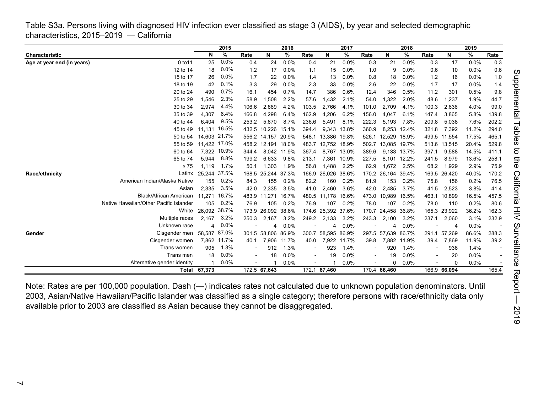<span id="page-6-0"></span>Table S3a. Persons living with diagnosed HIV infection ever classified as stage 3 (AIDS), by year and selected demographic characteristics, 2015–2019 — California

|                            |                                        |              | 2015         |       |                    | 2016        |       |                    | 2017        |       |              | 2018        |                |              | 2019  |       |
|----------------------------|----------------------------------------|--------------|--------------|-------|--------------------|-------------|-------|--------------------|-------------|-------|--------------|-------------|----------------|--------------|-------|-------|
| Characteristic             |                                        | N            | %            | Rate  | N                  | %           | Rate  | N                  | %           | Rate  | N            | %           | Rate           | N            | %     | Rate  |
| Age at year end (in years) | 0 to 11                                | 25           | 0.0%         | 0.4   | 24                 | 0.0%        | 0.4   | 21                 | 0.0%        | 0.3   | 21           | 0.0%        | 0.3            | 17           | 0.0%  | 0.3   |
|                            | 12 to 14                               | 18           | 0.0%         | 1.2   | 17                 | 0.0%        | 1.1   | 15                 | 0.0%        | 1.0   | 9            | 0.0%        | 0.6            | 10           | 0.0%  | 0.6   |
|                            | 15 to 17                               | 26           | 0.0%         | 1.7   | 22                 | 0.0%        | 1.4   | 13                 | 0.0%        | 0.8   | 18           | 0.0%        | 1.2            | 16           | 0.0%  | 1.0   |
|                            | 18 to 19                               | 42           | 0.1%         | 3.3   | 29                 | 0.0%        | 2.3   | 33                 | 0.0%        | 2.6   | 22           | 0.0%        | 1.7            | 17           | 0.0%  | 1.4   |
|                            | 20 to 24                               | 490          | 0.7%         | 16.1  | 454                | 0.7%        | 14.7  | 386                | 0.6%        | 12.4  | 346          | 0.5%        | 11.2           | 301          | 0.5%  | 9.8   |
|                            | 25 to 29                               | 1,546        | 2.3%         | 58.9  | 1,508              | 2.2%        | 57.6  | 1,432              | 2.1%        | 54.0  | 1,322        | 2.0%        | 48.6           | 1,237        | 1.9%  | 44.7  |
|                            | 30 to 34                               | 2,974        | 4.4%         | 106.6 | 2.869              | 4.2%        | 103.5 | 2.766              | 4.1%        | 101.0 | 2.709        | 4.1%        | 100.3          | 2,636        | 4.0%  | 99.0  |
|                            | 35 to 39                               | 4,307        | 6.4%         | 166.8 | 4,298              | 6.4%        | 162.9 | 4,206              | 6.2%        | 156.0 | 4.047        | 6.1%        | 147.4          | 3,865        | 5.8%  | 139.8 |
|                            | 40 to 44                               | 6.404        | 9.5%         | 253.2 | 5.870              | 8.7%        | 236.6 | 5,491              | 8.1%        | 222.3 | 5,193        | 7.8%        | 209.8          | 5,038        | 7.6%  | 202.2 |
|                            | 45 to 49                               | 11,131 16.5% |              | 432.5 | 10.226 15.1%       |             | 394.4 |                    | 9,343 13.8% | 360.9 |              | 8.253 12.4% | 321.8          | 7,392        | 11.2% | 294.0 |
|                            | 50 to 54                               |              | 14.603 21.7% |       | 556.2 14,157 20.9% |             | 548.1 | 13,386 19.8%       |             | 526.1 | 12,529 18.9% |             |                | 499.5 11,554 | 17.5% | 465.1 |
|                            | 55 to 59                               | 11,422 17.0% |              |       | 458.2 12,191 18.0% |             | 483.7 | 12,752 18.9%       |             | 502.7 | 13,085 19.7% |             |                | 513.6 13,515 | 20.4% | 529.8 |
|                            | 60 to 64                               |              | 7,322 10.9%  | 344.4 |                    | 8,042 11.9% | 367.4 | 8,767              | 13.0%       | 389.6 |              | 9,133 13.7% | 397.1          | 9,588        | 14.5% | 411.1 |
|                            | 65 to 74                               | 5.944        | 8.8%         | 199.2 | 6.633              | 9.8%        | 213.1 | 7.361              | 10.9%       | 227.5 |              | 8.101 12.2% | 241.5          | 8,979        | 13.6% | 258.1 |
|                            | $\geq 75$                              | 1,119        | 1.7%         | 50.1  | 1,303              | 1.9%        | 56.8  | 1,488              | 2.2%        | 62.9  | 1,672        | 2.5%        | 68.2           | 1,929        | 2.9%  | 75.9  |
| Race/ethnicity             | Latinx                                 | 25,244 37.5% |              | 168.5 | 25,244 37.3%       |             | 166.9 | 26,026             | 38.6%       | 170.2 | 26,164 39.4% |             |                | 169.5 26,420 | 40.0% | 170.2 |
|                            | American Indian/Alaska Native          | 155          | 0.2%         | 84.3  | 155                | 0.2%        | 82.2  | 160                | 0.2%        | 81.9  | 153          | 0.2%        | 75.8           | 156          | 0.2%  | 76.5  |
|                            | Asian                                  | 2.335        | 3.5%         | 42.0  | 2,335              | 3.5%        | 41.0  | 2,460              | 3.6%        | 42.0  | 2,485        | 3.7%        | 41.5           | 2,523        | 3.8%  | 41.4  |
|                            | <b>Black/African American</b>          | 11.271       | 16.7%        | 483.9 | 11,271             | 16.7%       | 480.5 | 11,178             | 16.6%       | 473.0 | 10,989       | 16.5%       | 463.1          | 10,899       | 16.5% | 457.5 |
|                            | Native Hawaiian/Other Pacific Islander | 105          | 0.2%         | 76.9  | 105                | 0.2%        | 76.9  | 107                | 0.2%        | 78.0  | 107          | 0.2%        | 78.0           | 110          | 0.2%  | 80.6  |
|                            | White                                  | 26,092 38.7% |              | 173.9 | 26,092 38.6%       |             | 174.6 | 25,392 37.6%       |             | 170.7 | 24,458 36.8% |             |                | 165.3 23,922 | 36.2% | 162.3 |
|                            | Multiple races                         | 2,167        | 3.2%         | 250.3 | 2,167              | 3.2%        | 249.2 | 2,133              | 3.2%        | 243.3 | 2,100        | 3.2%        | 237.1          | 2,060        | 3.1%  | 232.9 |
|                            | Unknown race                           | 4            | 0.0%         |       | 4                  | $0.0\%$     |       | 4                  | 0.0%        |       | 4            | 0.0%        |                | 4            | 0.0%  |       |
| Gender                     | Cisgender men                          | 58,587 87.0% |              | 301.5 | 58,806 86.9%       |             |       | 300.7 58,595 86.9% |             |       | 297.5 57,639 | 86.7%       | 291.1          | 57,269       | 86.6% | 288.3 |
|                            | Cisgender women                        |              | 7,862 11.7%  | 40.1  | 7,906              | 11.7%       | 40.0  | 7,922              | 11.7%       | 39.8  |              | 7,882 11.9% | 39.4           | 7,869        | 11.9% | 39.2  |
|                            | Trans women                            | 905          | 1.3%         |       | 912                | 1.3%        |       | 923                | 1.4%        |       | 920          | 1.4%        | $\overline{a}$ | 936          | 1.4%  |       |
|                            | Trans men                              | 18           | 0.0%         |       | 18                 | 0.0%        |       | 19                 | 0.0%        |       | 19           | $0.0\%$     |                | 20           | 0.0%  |       |
|                            | Alternative gender identity            |              | 0.0%         |       |                    | 0.0%        |       |                    | 0.0%        |       | 0            | 0.0%        |                | $\Omega$     | 0.0%  |       |
|                            |                                        | Total 67,373 |              |       | 172.5 67,643       |             |       | 172.1 67,460       |             |       | 170.4 66,460 |             |                | 166.9 66,094 |       | 165.4 |

Note: Rates are per 100,000 population. Dash (—) indicates rates not calculated due to unknown population denominators. Until 2003, Asian/Native Hawaiian/Pacific Islander was classified as a single category; therefore persons with race/ethnicity data only available prior to 2003 are classified as Asian because they cannot be disaggregated.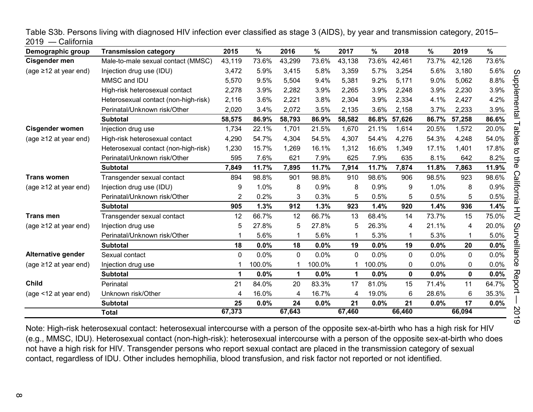| Demographic group           | <b>Transmission category</b>         | 2015   | $\frac{0}{0}$ | 2016         | %      | 2017        | $\frac{0}{0}$ | 2018        | %     | 2019         | $\frac{9}{6}$ |
|-----------------------------|--------------------------------------|--------|---------------|--------------|--------|-------------|---------------|-------------|-------|--------------|---------------|
| Cisgender men               | Male-to-male sexual contact (MMSC)   | 43,119 | 73.6%         | 43,299       | 73.6%  | 43,138      | 73.6%         | 42,461      | 73.7% | 42,126       | 73.6%         |
| (age $\geq$ 12 at year end) | Injection drug use (IDU)             | 3,472  | 5.9%          | 3,415        | 5.8%   | 3,359       | 5.7%          | 3,254       | 5.6%  | 3,180        | 5.6%          |
|                             | MMSC and IDU                         | 5,570  | 9.5%          | 5,504        | 9.4%   | 5,381       | 9.2%          | 5,171       | 9.0%  | 5,062        | 8.8%          |
|                             | High-risk heterosexual contact       | 2,278  | 3.9%          | 2,282        | 3.9%   | 2,265       | 3.9%          | 2,248       | 3.9%  | 2,230        | 3.9%          |
|                             | Heterosexual contact (non-high-risk) | 2,116  | 3.6%          | 2,221        | 3.8%   | 2,304       | 3.9%          | 2,334       | 4.1%  | 2,427        | 4.2%          |
|                             | Perinatal/Unknown risk/Other         | 2,020  | 3.4%          | 2,072        | 3.5%   | 2,135       | 3.6%          | 2,158       | 3.7%  | 2,233        | 3.9%          |
|                             | <b>Subtotal</b>                      | 58,575 | 86.9%         | 58,793       | 86.9%  | 58,582      | 86.8%         | 57,626      | 86.7% | 57,258       | 86.6%         |
| <b>Cisgender women</b>      | Injection drug use                   | 1,734  | 22.1%         | 1,701        | 21.5%  | 1,670       | 21.1%         | 1,614       | 20.5% | 1,572        | 20.0%         |
| (age $\geq$ 12 at year end) | High-risk heterosexual contact       | 4,290  | 54.7%         | 4,304        | 54.5%  | 4,307       | 54.4%         | 4,276       | 54.3% | 4,248        | 54.0%         |
|                             | Heterosexual contact (non-high-risk) | 1,230  | 15.7%         | 1,269        | 16.1%  | 1,312       | 16.6%         | 1,349       | 17.1% | 1,401        | 17.8%         |
|                             | Perinatal/Unknown risk/Other         | 595    | 7.6%          | 621          | 7.9%   | 625         | 7.9%          | 635         | 8.1%  | 642          | 8.2%          |
|                             | <b>Subtotal</b>                      | 7,849  | 11.7%         | 7,895        | 11.7%  | 7,914       | 11.7%         | 7,874       | 11.8% | 7,863        | 11.9%         |
| <b>Trans women</b>          | Transgender sexual contact           | 894    | 98.8%         | 901          | 98.8%  | 910         | 98.6%         | 906         | 98.5% | 923          | 98.6%         |
| (age $\geq$ 12 at year end) | Injection drug use (IDU)             | 9      | 1.0%          | 8            | 0.9%   | 8           | 0.9%          | 9           | 1.0%  | 8            | 0.9%          |
|                             | Perinatal/Unknown risk/Other         | 2      | 0.2%          | 3            | 0.3%   | 5           | 0.5%          | 5           | 0.5%  | 5            | 0.5%          |
|                             | <b>Subtotal</b>                      | 905    | 1.3%          | 912          | 1.3%   | 923         | 1.4%          | 920         | 1.4%  | 936          | 1.4%          |
| <b>Trans men</b>            | Transgender sexual contact           | 12     | 66.7%         | 12           | 66.7%  | 13          | 68.4%         | 14          | 73.7% | 15           | 75.0%         |
| (age $\geq$ 12 at year end) | Injection drug use                   | 5      | 27.8%         | 5            | 27.8%  | 5           | 26.3%         | 4           | 21.1% | 4            | 20.0%         |
|                             | Perinatal/Unknown risk/Other         | 1      | 5.6%          |              | 5.6%   |             | 5.3%          |             | 5.3%  | 1            | 5.0%          |
|                             | <b>Subtotal</b>                      | 18     | 0.0%          | 18           | 0.0%   | 19          | 0.0%          | 19          | 0.0%  | 20           | 0.0%          |
| Alternative gender          | Sexual contact                       | 0      | 0.0%          | $\mathbf{0}$ | 0.0%   | $\mathbf 0$ | 0.0%          | 0           | 0.0%  | $\mathbf{0}$ | 0.0%          |
| (age $\geq$ 12 at year end) | Injection drug use                   |        | 100.0%        |              | 100.0% |             | 100.0%        | 0           | 0.0%  | 0            | 0.0%          |
|                             | <b>Subtotal</b>                      | 1      | 0.0%          | $\mathbf 1$  | 0.0%   | 1           | 0.0%          | $\mathbf 0$ | 0.0%  | 0            | 0.0%          |
| <b>Child</b>                | Perinatal                            | 21     | 84.0%         | 20           | 83.3%  | 17          | 81.0%         | 15          | 71.4% | 11           | 64.7%         |
| (age <12 at year end)       | Unknown risk/Other                   | 4      | 16.0%         | 4            | 16.7%  | 4           | 19.0%         | 6           | 28.6% | 6            | 35.3%         |
|                             | <b>Subtotal</b>                      | 25     | 0.0%          | 24           | 0.0%   | 21          | 0.0%          | 21          | 0.0%  | 17           | 0.0%          |
|                             | <b>Total</b>                         | 67,373 |               | 67,643       |        | 67,460      |               | 66,460      |       | 66,094       |               |

<span id="page-7-0"></span>Table S3b. Persons living with diagnosed HIV infection ever classified as stage 3 (AIDS), by year and transmission category, 2015– 2019 — California

Note: High-risk heterosexual contact: heterosexual intercourse with a person of the opposite sex-at-birth who has a high risk for HIV (e.g., MMSC, IDU). Heterosexual contact (non-high-risk): heterosexual intercourse with a person of the opposite sex-at-birth who does not have a high risk for HIV. Transgender persons who report sexual contact are placed in the transmission category of sexual contact, regardless of IDU. Other includes hemophilia, blood transfusion, and risk factor not reported or not identified.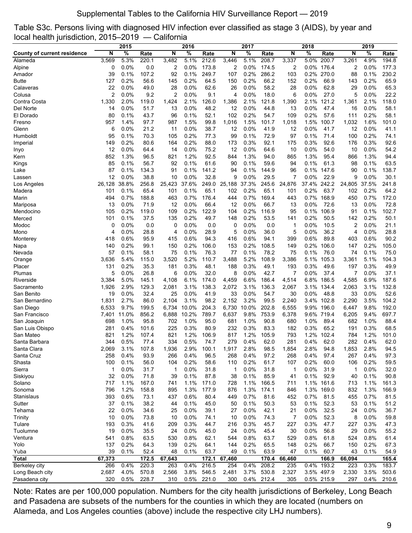## Supplemental Tables to the California HIV Surveillance Report — 2019

<span id="page-8-0"></span>Table S3c. Persons living with diagnosed HIV infection ever classified as stage 3 (AIDS), by year and local health jurisdiction, 2015–2019 — California

|                                    |               | 2015          |                |                | 2016           |                |                | 2017          |                |                | 2018         |                |                | 2019         |                |
|------------------------------------|---------------|---------------|----------------|----------------|----------------|----------------|----------------|---------------|----------------|----------------|--------------|----------------|----------------|--------------|----------------|
| <b>County of current residence</b> | N             | $\frac{1}{6}$ | Rate           | N              | %              | Rate           | N              | $\frac{1}{6}$ | Rate           | N              | %            | Rate           | N              | %            | Rate           |
| Alameda                            | 3,569         | 5.3%          | 220.1          | 3,482          | 5.1%           | 212.6          | 3,446          | 5.1%          | 208.7          | 3,337          | 5.0%         | 200.7          | 3,261          | 4.9%         | 194.8          |
| Alpine                             | 0             | 0.0%          | 0.0            | 2              | $0.0\%$        | 173.8          | 2              | $0.0\%$       | 174.5          | 2              |              | 0.0% 176.4     | 2              | 0.0%         | 177.3          |
| Amador                             | 39            | 0.1%          | 107.2          | 92             | 0.1%           | 249.7          | 107            | 0.2%          | 286.2          | 103            | 0.2%         | 270.0          | 88             | 0.1%         | 230.2          |
| <b>Butte</b>                       | 127           | 0.2%          | 56.6           | 145            | 0.2%           | 64.5           | 150            | 0.2%          | 66.2           | 152            | 0.2%         | 66.9           | 143            | 0.2%         | 65.9           |
| Calaveras                          | 22            | 0.0%          | 49.0           | 28             | 0.0%           | 62.6           | 26             | 0.0%          | 58.2           | 28             | 0.0%         | 62.8           | 29             | 0.0%         | 65.3           |
| Colusa                             | 2             | 0.0%          | 9.2            | $\overline{c}$ | 0.0%           | 9.1            | 4              | 0.0%          | 18.0           | 6              | $0.0\%$      | 27.0           | 5              | 0.0%         | 22.2           |
| Contra Costa                       | 1,330         | 2.0%          | 119.0          | 1,424          | 2.1%           | 126.0          | 1,386          | 2.1%          | 121.8          | 1,390          | 2.1%         | 121.2          | 1,361          | 2.1%         | 118.0          |
| Del Norte                          | 14            | 0.0%          | 51.7           | 13             | 0.0%           | 48.2           | 12             | 0.0%          | 44.8           | 13             | 0.0%         | 47.4           | 16             | 0.0%         | 58.1           |
| El Dorado                          | 80            | 0.1%          | 43.7           | 96             | 0.1%           | 52.1           | 102            | 0.2%          | 54.7           | 109            | 0.2%         | 57.6           | 111            | 0.2%         | 58.1           |
| Fresno                             | 957           | 1.4%          | 97.7           | 987            | 1.5%           | 99.8           | 1,016          | 1.5%          | 101.7          | 1,018          | 1.5%         | 100.7          | 1,032          | 1.6%         | 101.0          |
| Glenn                              | 6             | 0.0%          | 21.2           | 11             | 0.0%           | 38.7           | 12             | 0.0%          | 41.9           | 12             | 0.0%         | 41.7           | 12             | 0.0%         | 41.1           |
| Humboldt                           | 95            | 0.1%          | 70.3           | 105            | 0.2%           | 77.3           | 99             | 0.1%          | 72.9           | 97             | 0.1%         | 71.4           | 100            | 0.2%         | 74.1           |
| Imperial                           | 149           | 0.2%<br>0.0%  | 80.6           | 164            | 0.2%           | 88.0           | 173            | 0.3%<br>0.0%  | 92.1           | 175            | 0.3%         | 92.6           | 176            | 0.3%         | 92.6<br>54.2   |
| Inyo                               | 12<br>852     | 1.3%          | 64.4<br>96.5   | 14<br>821      | 0.0%<br>1.2%   | 75.2<br>92.5   | 12             | 1.3%          | 64.6<br>94.0   | 10<br>865      | 0.0%<br>1.3% | 54.0<br>95.4   | 10<br>866      | 0.0%<br>1.3% | 94.4           |
| Kern                               | 85            | 0.1%          | 56.7           | 92             | 0.1%           | 61.6           | 844<br>90      | 0.1%          | 59.6           | 94             | 0.1%         | 61.3           | 98             | 0.1%         | 63.5           |
| Kings<br>Lake                      | 87            | 0.1%          | 134.3          | 91             | 0.1%           | 141.2          | 94             | 0.1%          | 144.9          | 96             | 0.1%         | 147.6          | 90             | 0.1%         | 138.7          |
| Lassen                             | 12            | 0.0%          | 38.8           | 10             | 0.0%           | 32.8           | 9              | 0.0%          | 29.5           | $\overline{7}$ | 0.0%         | 22.9           | 9              | 0.0%         | 30.1           |
| Los Angeles                        | 26,128        | 38.8%         | 256.8          | 25,423         | 37.6%          | 249.0          | 25,188         | 37.3%         | 245.6          | 24,876         | 37.4%        | 242.2          | 24,805         | 37.5%        | 241.8          |
| Madera                             | 101           | 0.1%          | 65.4           | 101            | 0.1%           | 65.1           | 102            | 0.2%          | 65.1           | 101            | 0.2%         | 63.7           | 102            | 0.2%         | 64.2           |
| Marin                              | 494           | 0.7%          | 188.8          | 463            | 0.7%           | 176.4          | 444            | 0.7%          | 169.4          | 443            | 0.7%         | 168.9          | 450            | 0.7%         | 172.0          |
| Mariposa                           | 13            | $0.0\%$       | 71.9           | 12             | 0.0%           | 66.4           | 12             | 0.0%          | 66.7           | 13             | 0.0%         | 72.6           | 13             | 0.0%         | 72.8           |
| Mendocino                          | 105           | 0.2%          | 119.0          | 109            | 0.2%           | 122.9          | 104            | 0.2%          | 116.9          | 95             | 0.1%         | 106.9          | 91             | 0.1%         | 102.7          |
| Merced                             | 101           | 0.1%          | 37.5           | 135            | 0.2%           | 49.7           | 148            | 0.2%          | 53.5           | 141            | 0.2%         | 50.5           | 142            | 0.2%         | 50.1           |
| Modoc                              | 0             | 0.0%          | 0.0            | 0              | 0.0%           | 0.0            | 0              | 0.0%          | 0.0            | 1              | 0.0%         | 10.5           | 2              | 0.0%         | 21.1           |
| Mono                               | 4             | 0.0%          | 28.8           | 4              | 0.0%           | 28.9           | 5              | 0.0%          | 36.0           | 5              | 0.0%         | 36.2           | 4              | 0.0%         | 28.8           |
| Monterey                           | 418           | 0.6%          | 95.9           | 415            | 0.6%           | 94.3           | 416            | 0.6%          | 94.1           | 399            | 0.6%         | 89.8           | 403            | 0.6%         | 90.2           |
| Napa                               | 140           | 0.2%          | 99.1           | 150            | 0.2%           | 106.0          | 153            | 0.2%          | 108.5          | 149            | 0.2%         | 106.0          | 147            | 0.2%         | 105.0          |
| Nevada                             | 57            | 0.1%          | 58.1           | 75             | 0.1%           | 76.3           | 77             | 0.1%          | 78.2           | 75             | 0.1%         | 76.0           | 74             | 0.1%         | 75.0           |
| Orange                             | 3,636         | 5.4%          | 115.0          | 3,520          | 5.2%           | 110.7          | 3,488          | 5.2%          | 108.9          | 3,386          | 5.1%         | 105.3          | 3,361          | 5.1%         | 104.3          |
| Placer                             | 131           | 0.2%          | 35.3           | 181            | 0.3%           | 48.1           | 188            | 0.3%          | 49.1           | 193            | 0.3%         | 49.6           | 197            | 0.3%         | 49.9           |
| Plumas                             | 5             | 0.0%          | 26.8           | 6              | 0.0%           | 32.0           | 8              | 0.0%          | 42.7           | 7              | 0.0%         | 37.4           | 7              | 0.0%         | 37.1           |
| Riverside                          | 3,384         | 5.0%          | 145.1          | 4,108          | 6.1%           | 174.0          | 4,459          | 6.6%          | 186.4          | 4,514          | 6.8%         | 186.5          | 4,585          | 6.9%         | 187.6          |
| Sacramento                         | 1,926         | 2.9%          | 129.3          | 2,081          | 3.1%           | 138.3          | 2,072          | 3.1%          | 136.3          | 2,067          | $3.1\%$      | 134.4          | 2,063          | 3.1%         | 132.8          |
| San Benito                         | 19            | 0.0%          | 32.4           | 25             | 0.0%           | 41.9           | 33             | 0.0%          | 54.7           | 30             | 0.0%         | 48.8           | 33             | 0.0%         | 52.6           |
| San Bernardino                     | 1,831         | 2.7%          | 86.0           | 2,104          | 3.1%           | 98.2           | 2,152          | 3.2%          | 99.5           | 2,240          | 3.4%         | 102.8          | 2,290          | 3.5%         | 104.2          |
| San Diego<br>San Francisco         | 6,533         | 9.7%<br>11.0% | 199.5<br>856.2 | 6,734<br>6,888 | 10.0%<br>10.2% | 204.3<br>789.7 | 6,730<br>6,637 | 10.0%<br>9.8% | 202.8<br>753.9 | 6,555<br>6,378 | 9.9%<br>9.6% | 196.0<br>719.4 | 6,447<br>6,205 | 9.8%<br>9.4% | 192.0<br>697.7 |
| San Joaquin                        | 7,401<br>698  | 1.0%          | 95.8           | 702            | 1.0%           | 95.0           | 681            | 1.0%          | 90.8           | 680            | 1.0%         | 89.4           | 682            | 1.0%         | 88.4           |
| San Luis Obispo                    | 281           | 0.4%          | 101.6          | 225            | 0.3%           | 80.9           | 232            | 0.3%          | 83.3           | 182            | 0.3%         | 65.2           | 191            | 0.3%         | 68.5           |
| San Mateo                          | 821           | 1.2%          | 107.4          | 821            | 1.2%           | 106.9          | 817            | 1.2%          | 105.9          | 793            | 1.2%         | 102.4          | 784            | 1.2%         | 101.0          |
| Santa Barbara                      | 344           | 0.5%          | 77.4           | 334            | 0.5%           | 74.7           | 279            | 0.4%          | 62.0           | 281            | 0.4%         | 62.0           | 282            | 0.4%         | 62.0           |
| Santa Clara                        | 2,069         | 3.1%          | 107.8          | 1,936          | 2.9%           | 100.1          | 1,917          | 2.8%          | 98.5           | 1,854          | 2.8%         | 94.8           | 1,853          | 2.8%         | 94.5           |
| Santa Cruz                         | 258           | 0.4%          | 93.9           | 266            | 0.4%           | 96.5           | 268            | 0.4%          | 97.2           | 268            | 0.4%         | 97.4           | 267            | 0.4%         | 97.3           |
| Shasta                             | 100           | 0.1%          | 56.0           | 104            | 0.2%           | 58.6           | 110            | 0.2%          | 61.7           | 107            | 0.2%         | 60.0           | 106            | 0.2%         | 59.5           |
| Sierra                             | $\mathbf 1$   | 0.0%          | 31.7           | 1              | 0.0%           | 31.8           | 1              | 0.0%          | 31.8           | $\mathbf{1}$   | 0.0%         | 31.9           | 1              | 0.0%         | 32.0           |
| Siskiyou                           | 32            | 0.0%          | 71.8           | 39             | 0.1%           | 87.8           | 38             | 0.1%          | 85.9           | 41             | 0.1%         | 92.9           | 40             | 0.1%         | 90.8           |
| Solano                             | 717           | 1.1%          | 167.0          | 741            | 1.1%           | 171.0          | 728            | 1.1%          | 166.5          | 711            |              | 1.1% 161.6     | 713            | 1.1%         | 161.3          |
| Sonoma                             | 796           | 1.2%          | 158.8          | 895            | 1.3%           | 177.9          | 876            | 1.3%          | 174.1          | 846            |              | 1.3% 169.0     | 832            | 1.3%         | 166.9          |
| Stanislaus                         | 393           | 0.6%          | 73.1           | 437            | 0.6%           | 80.4           | 449            | 0.7%          | 81.6           | 452            | 0.7%         | 81.5           | 455            | 0.7%         | 81.5           |
| Sutter                             | 37            | 0.1%          | 38.2           | 44             | 0.1%           | 45.0           | 50             | 0.1%          | 50.3           | 53             | 0.1%         | 52.3           | 53             | 0.1%         | 51.2           |
| Tehama                             | 22            | 0.0%          | 34.6           | 25             | 0.0%           | 39.1           | 27             | 0.0%          | 42.1           | 21             | 0.0%         | 32.5           | 24             | 0.0%         | 36.7           |
| <b>Trinity</b>                     | 10            | 0.0%          | 73.8           | 10             | 0.0%           | 74.1           | 10             | 0.0%          | 74.3           | $\overline{7}$ | 0.0%         | 52.3           | 8              | 0.0%         | 59.8           |
| Tulare                             | 193           | 0.3%          | 41.6           | 209            | 0.3%           | 44.7           | 216            | 0.3%          | 45.7           | 227            | 0.3%         | 47.7           | 227            | 0.3%         | 47.3           |
| Tuolumne                           | 19            | 0.0%          | 35.5           | 24             | 0.0%           | 45.0           | 24             | 0.0%          | 45.4           | 30             | 0.0%         | 56.8           | 29             | 0.0%         | 55.2           |
| Ventura                            | 541           | 0.8%          | 63.5           | 530            | 0.8%           | 62.1           | 544            | 0.8%          | 63.7           | 529            | 0.8%         | 61.8           | 524            | 0.8%         | 61.4           |
| Yolo                               | 137           | 0.2%          | 64.3           | 139            | 0.2%           | 64.1           | 144            | 0.2%          | 65.5           | 148            | 0.2%         | 66.7           | 150            | 0.2%         | 67.3           |
| Yuba                               | 39            | 0.1%          | 52.4<br>172.5  | 48<br>67,643   | 0.1%           | 63.7<br>172.1  | 49<br>67,460   | 0.1%          | 63.9<br>170.4  | 47<br>66,460   | 0.1%         | 60.7<br>166.9  | 43             | 0.1%         | 54.9<br>165.4  |
| Total<br>Berkeley city             | 67,373<br>266 | 0.4%          | 220.3          | 263            | 0.4%           | 216.5          | 254            | 0.4%          | 208.2          | 235            | 0.4%         | 193.2          | 66,094<br>223  | 0.3%         | 183.7          |
| Long Beach city                    | 2,687         | 4.0%          | 570.8          | 2,566          | 3.8%           | 546.5          | 2,481          | 3.7%          | 530.8          | 2,327          |              | 3.5% 497.9     | 2,330          | 3.5%         | 503.6          |
| Pasadena city                      | 320           | 0.5%          | 228.7          | 310            | 0.5%           | 221.0          | 300            |               | 0.4% 212.4     | 305            |              | 0.5% 215.9     | 297            | 0.4%         | 210.6          |

Note: Rates are per 100,000 population. Numbers for the city health jurisdictions of Berkeley, Long Beach and Pasadena are subsets of the numbers for the counties in which they are located (numbers on Alameda, and Los Angeles counties (above) include the respective city LHJ numbers).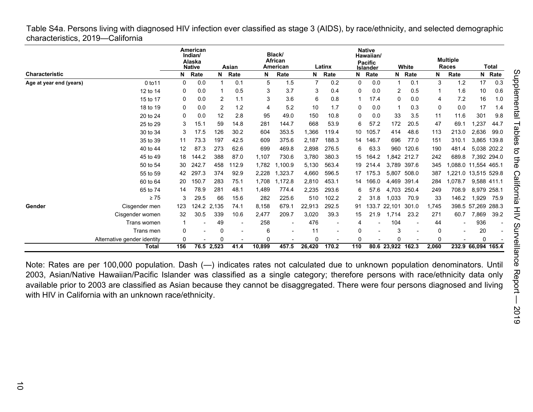<span id="page-9-0"></span>Table S4a. Persons living with diagnosed HIV infection ever classified as stage 3 (AIDS), by race/ethnicity, and selected demographic characteristics, 2019—California

|                         |                             |          | American<br>Indian/<br>Alaska<br><b>Native</b> |                | Asian                    |        | Black/<br><b>African</b><br>American |        | Latinx |          | <b>Native</b><br>Hawaiian/<br><b>Pacific</b><br>Islander |                   | White                    |          | <b>Multiple</b><br><b>Races</b> |                    | Total          |
|-------------------------|-----------------------------|----------|------------------------------------------------|----------------|--------------------------|--------|--------------------------------------|--------|--------|----------|----------------------------------------------------------|-------------------|--------------------------|----------|---------------------------------|--------------------|----------------|
| <b>Characteristic</b>   |                             | N        | Rate                                           | N              | Rate                     | N      | Rate                                 | N      | Rate   | N        | Rate                                                     | N                 | Rate                     | N        | Rate                            |                    | N Rate         |
| Age at year end (years) | 0 to 11                     | $\Omega$ | 0.0                                            |                | 0.1                      | 5      | 1.5                                  |        | 0.2    | $\Omega$ | 0.0                                                      |                   | 0.1                      | 3        | 1.2                             | 17                 | 0.3            |
|                         | 12 to 14                    | 0        | 0.0                                            |                | 0.5                      | 3      | 3.7                                  | 3      | 0.4    | $\Omega$ | 0.0                                                      | 2                 | 0.5                      | -1       | 1.6                             | 10                 | 0.6            |
|                         | 15 to 17                    | 0        | 0.0                                            | $\overline{2}$ | 1.1                      | 3      | 3.6                                  | 6      | 0.8    |          | 17.4                                                     | $\mathbf 0$       | 0.0                      | 4        | 7.2                             | 16                 | 1.0            |
|                         | 18 to 19                    | 0        | 0.0                                            | 2              | 1.2                      | 4      | 5.2                                  | 10     | 1.7    | 0        | 0.0                                                      |                   | 0.3                      | 0        | 0.0                             | 17                 | 1.4            |
|                         | 20 to 24                    | 0        | 0.0                                            | 12             | 2.8                      | 95     | 49.0                                 | 150    | 10.8   | 0        | 0.0                                                      | 33                | 3.5                      | 11       | 11.6                            | 301                | 9.8            |
|                         | 25 to 29                    | 3        | 15.1                                           | 59             | 14.8                     | 281    | 144.7                                | 668    | 53.9   | 6        | 57.2                                                     | 172               | 20.5                     | 47       | 69.1                            | 1,237              | 44.7           |
|                         | 30 to 34                    | 3        | 17.5                                           | 126            | 30.2                     | 604    | 353.5                                | 1,366  | 119.4  | 10       | 105.7                                                    | 414               | 48.6                     | 113      | 213.0                           | 2,636              | 99.0           |
|                         | 35 to 39                    | 11       | 73.3                                           | 197            | 42.5                     | 609    | 375.6                                | 2,187  | 188.3  | 14       | 146.7                                                    | 696               | 77.0                     | 151      | 310.1                           | 3,865 139.8        |                |
|                         | 40 to 44                    | 12       | 87.3                                           | 273            | 62.6                     | 699    | 469.8                                | 2,898  | 276.5  | 6        | 63.3                                                     | 960               | 120.6                    | 190      | 481.4                           | 5,038 202.2        |                |
|                         | 45 to 49                    | 18       | 144.2                                          | 388            | 87.0                     | 1,107  | 730.6                                | 3,780  | 380.3  | 15       | 164.2                                                    |                   | 1,842 212.7              | 242      | 689.8                           | 7,392 294.0        |                |
|                         | 50 to 54                    | 30       | 242.7                                          | 458            | 112.9                    | 1,782  | 1,100.9                              | 5,130  | 563.4  | 19       | 214.4                                                    | 3,789             | 397.6                    | 345      | 1.088.0                         | 11,554 465.1       |                |
|                         | 55 to 59                    | 42       | 297.3                                          | 374            | 92.9                     | 2,228  | 1,323.7                              | 4,660  | 596.5  | 17       | 175.3                                                    | 5,807             | 508.0                    | 387      | 1.221.0                         | 13,515 529.8       |                |
|                         | 60 to 64                    | 20       | 150.7                                          | 283            | 75.1                     | 1,708  | 1,172.8                              | 2,810  | 453.1  | 14       | 166.0                                                    | 4,469             | 391.4                    | 284      | 1,078.7                         | 9,588 411.1        |                |
|                         | 65 to 74                    | 14       | 78.9                                           | 281            | 48.1                     | 1,489  | 774.4                                | 2,235  | 293.6  | 6        | 57.6                                                     | 4,703             | 250.4                    | 249      | 708.9                           | 8,979 258.1        |                |
|                         | $\geq 75$                   | 3        | 29.5                                           | 66             | 15.6                     | 282    | 225.6                                | 510    | 102.2  | 2        | 31.8                                                     | 1,033             | 70.9                     | 33       | 146.2                           | 1,929              | 75.9           |
| Gender                  | Cisgender men               | 123      |                                                | 124.2 2,135    | 74.1                     | 8,158  | 679.1                                | 22,913 | 292.5  | 91       |                                                          | 133.7 22,101      | 301.0                    | 1,745    |                                 | 398.5 57,269 288.3 |                |
|                         | Cisgender women             | 32       | 30.5                                           | 339            | 10.6                     | 2,477  | 209.7                                | 3,020  | 39.3   | 15       | 21.9                                                     | 1,714             | 23.2                     | 271      | 60.7                            | 7,869              | 39.2           |
|                         | Trans women                 |          |                                                | 49             | $\overline{\phantom{a}}$ | 258    | $\overline{\phantom{a}}$             | 476    |        | 4        |                                                          | 104               | $\overline{\phantom{a}}$ | 44       | $\overline{\phantom{0}}$        | 936                | $\blacksquare$ |
|                         | Trans men                   | 0        |                                                | 0              |                          | 6      |                                      | 11     |        | 0        |                                                          | 3                 |                          | 0        |                                 | 20                 |                |
|                         | Alternative gender identity | 0        |                                                | $\Omega$       |                          | 0      |                                      | O      |        | 0        |                                                          | ი                 |                          | $\Omega$ |                                 | 0                  |                |
|                         | <b>Total</b>                | 156      |                                                | 76.5 2,523     | 41.4                     | 10,899 | 457.5                                | 26,420 | 170.2  | 110      |                                                          | 80.6 23,922 162.3 |                          | 2,060    |                                 | 232.9 66,094 165.4 |                |

Note: Rates are per 100,000 population. Dash (—) indicates rates not calculated due to unknown population denominators. Until 2003, Asian/Native Hawaiian/Pacific Islander was classified as a single category; therefore persons with race/ethnicity data only available prior to 2003 are classified as Asian because they cannot be disaggregated. There were four persons diagnosed and living with HIV in California with an unknown race/ethnicity.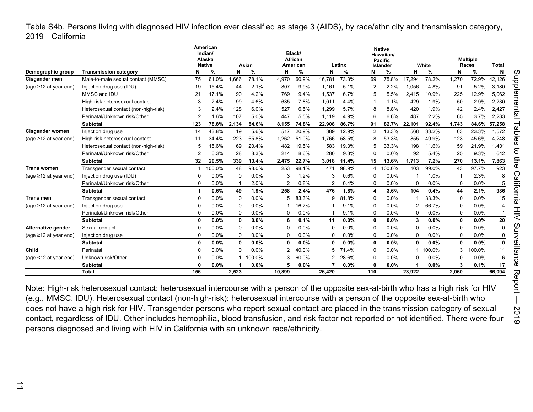<span id="page-10-0"></span>Table S4b. Persons living with diagnosed HIV infection ever classified as stage 3 (AIDS), by race/ethnicity and transmission category, 2019—California

|                             |                                                                      |          | American<br>Indian/<br>Alaska<br><b>Native</b> |              |            |                | Black/<br>African |                |             |                | <b>Native</b><br>Hawaiian/<br><b>Pacific</b> |              |            |             | <b>Multiple</b> |                   |
|-----------------------------|----------------------------------------------------------------------|----------|------------------------------------------------|--------------|------------|----------------|-------------------|----------------|-------------|----------------|----------------------------------------------|--------------|------------|-------------|-----------------|-------------------|
| Demographic group           | <b>Transmission category</b>                                         | N        | %                                              | N            | Asian<br>% | N              | American<br>%     | N              | Latinx<br>% | N              | Islander<br>%                                | N            | White<br>% | N           | Races<br>%      | <b>Total</b><br>N |
| Cisgender men               | Male-to-male sexual contact (MMSC)                                   | 75       | 61.0%                                          | 1,666        | 78.1%      | 4,970          | 60.9%             | 16,781         | 73.3%       | 69             | 75.8%                                        | 17,294       | 78.2%      | 1,270       | 72.9%           | 42,126            |
| (age $\geq$ 12 at year end) | Injection drug use (IDU)                                             | 19       | 15.4%                                          | 44           | 2.1%       | 807            | 9.9%              | 1,161          | 5.1%        | $\overline{2}$ | 2.2%                                         | 1.056        | 4.8%       | 91          | 5.2%            | 3,180             |
|                             | MMSC and IDU                                                         | 21       | 17.1%                                          | 90           | 4.2%       | 769            | 9.4%              | 1,537          | 6.7%        |                | 5.5%                                         | 2,415        | 10.9%      | 225         | 12.9%           | 5,062             |
|                             | High-risk heterosexual contact                                       | 3        | 2.4%                                           | 99           | 4.6%       | 635            | 7.8%              | 1,011          | 4.4%        |                | 1.1%                                         | 429          | 1.9%       | 50          | 2.9%            | 2,230             |
|                             |                                                                      | 3        | 2.4%                                           | 128          | 6.0%       | 527            | 6.5%              | 1,299          | 5.7%        | 8              | 8.8%                                         | 420          | 1.9%       | 42          | 2.4%            | 2,427             |
|                             | Heterosexual contact (non-high-risk)<br>Perinatal/Unknown risk/Other |          | 1.6%                                           | 107          | 5.0%       | 447            | 5.5%              | 1.119          | 4.9%        |                | 6.6%                                         | 487          | 2.2%       | 65          | 3.7%            | 2,233             |
|                             | <b>Subtotal</b>                                                      | 123      | 78.8%                                          | 2.134        | 84.6%      | 8.155          | 74.8%             | 22,908         | 86.7%       | 91             | 82.7%                                        | 22.101       | 92.4%      | 1,743       | 84.6%           | 57,258            |
| <b>Cisgender women</b>      | Injection drug use                                                   | 14       | 43.8%                                          | 19           | 5.6%       | 517            | 20.9%             | 389            | 12.9%       | $\overline{2}$ | 13.3%                                        | 568          | 33.2%      | 63          | 23.3%           | 1,572             |
| (age $\geq$ 12 at year end) | High-risk heterosexual contact                                       | 11       | 34.4%                                          | 223          | 65.8%      | 1.262          | 51.0%             | 1.766          | 58.5%       | 8              | 53.3%                                        | 855          | 49.9%      | 123         | 45.6%           | 4,248             |
|                             | Heterosexual contact (non-high-risk)                                 | 5        | 15.6%                                          | 69           | 20.4%      | 482            | 19.5%             | 583            | 19.3%       | 5              | 33.3%                                        | 198          | 11.6%      | 59          | 21.9%           | 1,401             |
|                             | Perinatal/Unknown risk/Other                                         |          | 6.3%                                           | 28           | 8.3%       | 214            | 8.6%              | 280            | 9.3%        | $\Omega$       | 0.0%                                         | 92           | 5.4%       | 25          | 9.3%            | 642               |
|                             | Subtotal                                                             | 32       | 20.5%                                          | 339          | 13.4%      | 2.475          | 22.7%             | 3,018          | 11.4%       | 15             | 13.6%                                        | 1.713        | 7.2%       | 270         | 13.1%           | 7,863             |
| <b>Trans women</b>          | Transgender sexual contact                                           |          | 100.0%                                         | 48           | 98.0%      | 253            | 98.1%             | 471            | 98.9%       | 4              | 100.0%                                       | 103          | 99.0%      | 43          | 97.7%           | 923               |
| (age $\geq$ 12 at year end) | Injection drug use (IDU)                                             | $\Omega$ | 0.0%                                           | $\Omega$     | 0.0%       | 3              | 1.2%              | 3              | 0.6%        | $\Omega$       | 0.0%                                         |              | 1.0%       | -1          | 2.3%            |                   |
|                             | Perinatal/Unknown risk/Other                                         | 0        | 0.0%                                           |              | 2.0%       | $\overline{2}$ | 0.8%              | $\overline{2}$ | 0.4%        | $\Omega$       | 0.0%                                         | $\Omega$     | 0.0%       | 0           | 0.0%            | 5                 |
|                             | <b>Subtotal</b>                                                      |          | 0.6%                                           | 49           | 1.9%       | 258            | 2.4%              | 476            | 1.8%        | 4              | 3.6%                                         | 104          | 0.4%       | 44          | 2.1%            | 936               |
| Trans men                   | Transgender sexual contact                                           | $\Omega$ | 0.0%                                           | 0            | 0.0%       | 5              | 83.3%             | 9              | 81.8%       | $\Omega$       | 0.0%                                         |              | 33.3%      | $\mathbf 0$ | 0.0%            | 15                |
| (age $\geq$ 12 at year end) | Injection drug use                                                   |          | 0.0%                                           | 0            | 0.0%       |                | 16.7%             |                | 9.1%        | $\Omega$       | 0.0%                                         |              | 66.7%      | 0           | 0.0%            |                   |
|                             | Perinatal/Unknown risk/Other                                         | 0        | 0.0%                                           | 0            | 0.0%       | 0              | 0.0%              |                | 9.1%        | $\Omega$       | 0.0%                                         | <sup>0</sup> | 0.0%       | $\Omega$    | 0.0%            |                   |
|                             | <b>Subtotal</b>                                                      | 0        | 0.0%                                           | $\mathbf{0}$ | 0.0%       | 6              | 0.1%              | 11             | 0.0%        | $\mathbf{0}$   | 0.0%                                         | 3            | $0.0\%$    | $\mathbf 0$ | 0.0%            | 20                |
| Alternative gender          | Sexual contact                                                       | $\Omega$ | 0.0%                                           | $\Omega$     | 0.0%       | 0              | 0.0%              | $\Omega$       | 0.0%        | $\Omega$       | 0.0%                                         | $\Omega$     | 0.0%       | $\Omega$    | 0.0%            | $\Omega$          |
| (age $\geq$ 12 at year end) | Injection drug use                                                   | 0        | 0.0%                                           | 0            | 0.0%       | 0              | 0.0%              | $\Omega$       | 0.0%        | $\Omega$       | 0.0%                                         | <sup>0</sup> | 0.0%       | $\Omega$    | 0.0%            |                   |
|                             | <b>Subtotal</b>                                                      | 0        | 0.0%                                           | 0            | 0.0%       | 0              | 0.0%              | 0              | 0.0%        | $\mathbf{0}$   | 0.0%                                         | O            | 0.0%       | 0           | 0.0%            | 0                 |
| Child                       | Perinatal                                                            | $\Omega$ | 0.0%                                           | $\Omega$     | 0.0%       | 2              | 40.0%             | 5              | 71.4%       | $\Omega$       | 0.0%                                         |              | 100.0%     | 3           | 100.0%          | 11                |
| (age <12 at year end)       | Unknown risk/Other                                                   | $\Omega$ | 0.0%                                           |              | 100.0%     | 3              | 60.0%             | $\overline{2}$ | 28.6%       | $\Omega$       | 0.0%                                         | $\Omega$     | 0.0%       | $\Omega$    | 0.0%            | 6                 |
|                             | <b>Subtotal</b>                                                      | O        | 0.0%                                           |              | 0.0%       | 5              | 0.0%              |                | 0.0%        | $\Omega$       | 0.0%                                         |              | $0.0\%$    | 3           | 0.1%            | 17                |
|                             | <b>Total</b>                                                         | 156      |                                                | 2,523        |            | 10.899         |                   | 26.420         |             | 110            |                                              | 23.922       |            | 2,060       |                 | 66.094            |

Note: High-risk heterosexual contact: heterosexual intercourse with a person of the opposite sex-at-birth who has a high risk for HIV (e.g., MMSC, IDU). Heterosexual contact (non-high-risk): heterosexual intercourse with a person of the opposite sex-at-birth who does not have a high risk for HIV. Transgender persons who report sexual contact are placed in the transmission category of sexual contact, regardless of IDU. Other includes hemophilia, blood transfusion, and risk factor not reported or not identified. There were four persons diagnosed and living with HIV in California with an unknown race/ethnicity.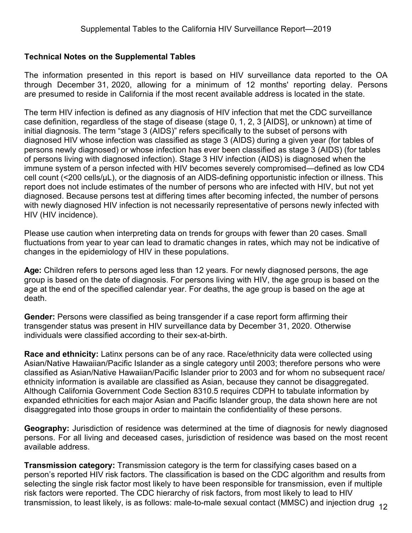### <span id="page-11-0"></span>**Technical Notes on the Supplemental Tables**

The information presented in this report is based on HIV surveillance data reported to the OA through December 31, 2020, allowing for a minimum of 12 months' reporting delay. Persons are presumed to reside in California if the most recent available address is located in the state.

The term HIV infection is defined as any diagnosis of HIV infection that met the CDC surveillance case definition, regardless of the stage of disease (stage 0, 1, 2, 3 [AIDS], or unknown) at time of initial diagnosis. The term "stage 3 (AIDS)" refers specifically to the subset of persons with diagnosed HIV whose infection was classified as stage 3 (AIDS) during a given year (for tables of persons newly diagnosed) or whose infection has ever been classified as stage 3 (AIDS) (for tables of persons living with diagnosed infection). Stage 3 HIV infection (AIDS) is diagnosed when the immune system of a person infected with HIV becomes severely compromised―defined as low CD4 cell count (<200 cells/µL), or the diagnosis of an AIDS-defining opportunistic infection or illness. This report does not include estimates of the number of persons who are infected with HIV, but not yet diagnosed. Because persons test at differing times after becoming infected, the number of persons with newly diagnosed HIV infection is not necessarily representative of persons newly infected with HIV (HIV incidence).

Please use caution when interpreting data on trends for groups with fewer than 20 cases. Small fluctuations from year to year can lead to dramatic changes in rates, which may not be indicative of changes in the epidemiology of HIV in these populations.

**Age:** Children refers to persons aged less than 12 years. For newly diagnosed persons, the age group is based on the date of diagnosis. For persons living with HIV, the age group is based on the age at the end of the specified calendar year. For deaths, the age group is based on the age at death.

**Gender:** Persons were classified as being transgender if a case report form affirming their transgender status was present in HIV surveillance data by December 31, 2020. Otherwise individuals were classified according to their sex-at-birth.

**Race and ethnicity:** Latinx persons can be of any race. Race/ethnicity data were collected using Asian/Native Hawaiian/Pacific Islander as a single category until 2003; therefore persons who were classified as Asian/Native Hawaiian/Pacific Islander prior to 2003 and for whom no subsequent race/ ethnicity information is available are classified as Asian, because they cannot be disaggregated. Although California Government Code Section 8310.5 requires CDPH to tabulate information by expanded ethnicities for each major Asian and Pacific Islander group, the data shown here are not disaggregated into those groups in order to maintain the confidentiality of these persons.

**Geography:** Jurisdiction of residence was determined at the time of diagnosis for newly diagnosed persons. For all living and deceased cases, jurisdiction of residence was based on the most recent available address.

**Transmission category:** Transmission category is the term for classifying cases based on a person's reported HIV risk factors. The classification is based on the CDC algorithm and results from selecting the single risk factor most likely to have been responsible for transmission, even if multiple risk factors were reported. The CDC hierarchy of risk factors, from most likely to lead to HIV transmission, to least likely, is as follows: male-to-male sexual contact (MMSC) and injection drug <sub>12</sub>